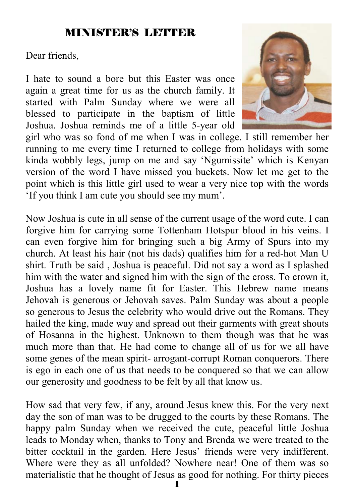# MINISTER'S LETTER

Dear friends,

I hate to sound a bore but this Easter was once again a great time for us as the church family. It started with Palm Sunday where we were all blessed to participate in the baptism of little Joshua. Joshua reminds me of a little 5-year old



girl who was so fond of me when I was in college. I still remember her running to me every time I returned to college from holidays with some kinda wobbly legs, jump on me and say 'Ngumissite' which is Kenyan version of the word I have missed you buckets. Now let me get to the point which is this little girl used to wear a very nice top with the words 'If you think I am cute you should see my mum'.

Now Joshua is cute in all sense of the current usage of the word cute. I can forgive him for carrying some Tottenham Hotspur blood in his veins. I can even forgive him for bringing such a big Army of Spurs into my church. At least his hair (not his dads) qualifies him for a red-hot Man U shirt. Truth be said , Joshua is peaceful. Did not say a word as I splashed him with the water and signed him with the sign of the cross. To crown it, Joshua has a lovely name fit for Easter. This Hebrew name means Jehovah is generous or Jehovah saves. Palm Sunday was about a people so generous to Jesus the celebrity who would drive out the Romans. They hailed the king, made way and spread out their garments with great shouts of Hosanna in the highest. Unknown to them though was that he was much more than that. He had come to change all of us for we all have some genes of the mean spirit- arrogant-corrupt Roman conquerors. There is ego in each one of us that needs to be conquered so that we can allow our generosity and goodness to be felt by all that know us.

How sad that very few, if any, around Jesus knew this. For the very next day the son of man was to be drugged to the courts by these Romans. The happy palm Sunday when we received the cute, peaceful little Joshua leads to Monday when, thanks to Tony and Brenda we were treated to the bitter cocktail in the garden. Here Jesus' friends were very indifferent. Where were they as all unfolded? Nowhere near! One of them was so materialistic that he thought of Jesus as good for nothing. For thirty pieces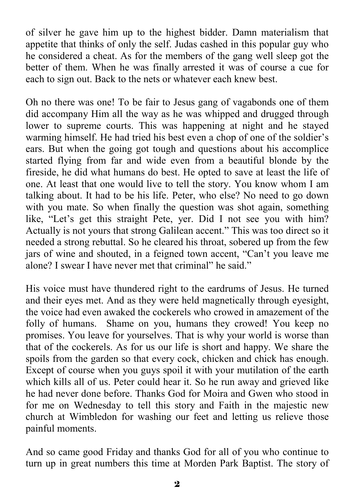of silver he gave him up to the highest bidder. Damn materialism that appetite that thinks of only the self. Judas cashed in this popular guy who he considered a cheat. As for the members of the gang well sleep got the better of them. When he was finally arrested it was of course a cue for each to sign out. Back to the nets or whatever each knew best.

Oh no there was one! To be fair to Jesus gang of vagabonds one of them did accompany Him all the way as he was whipped and drugged through lower to supreme courts. This was happening at night and he stayed warming himself. He had tried his best even a chop of one of the soldier's ears. But when the going got tough and questions about his accomplice started flying from far and wide even from a beautiful blonde by the fireside, he did what humans do best. He opted to save at least the life of one. At least that one would live to tell the story. You know whom I am talking about. It had to be his life. Peter, who else? No need to go down with you mate. So when finally the question was shot again, something like, "Let's get this straight Pete, yer. Did I not see you with him? Actually is not yours that strong Galilean accent." This was too direct so it needed a strong rebuttal. So he cleared his throat, sobered up from the few jars of wine and shouted, in a feigned town accent, "Can't you leave me alone? I swear I have never met that criminal" he said."

His voice must have thundered right to the eardrums of Jesus. He turned and their eyes met. And as they were held magnetically through eyesight, the voice had even awaked the cockerels who crowed in amazement of the folly of humans. Shame on you, humans they crowed! You keep no promises. You leave for yourselves. That is why your world is worse than that of the cockerels. As for us our life is short and happy. We share the spoils from the garden so that every cock, chicken and chick has enough. Except of course when you guys spoil it with your mutilation of the earth which kills all of us. Peter could hear it. So he run away and grieved like he had never done before. Thanks God for Moira and Gwen who stood in for me on Wednesday to tell this story and Faith in the majestic new church at Wimbledon for washing our feet and letting us relieve those painful moments.

And so came good Friday and thanks God for all of you who continue to turn up in great numbers this time at Morden Park Baptist. The story of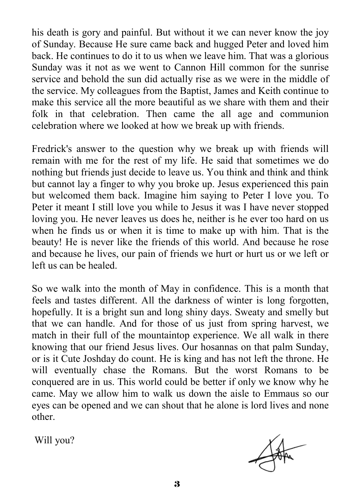his death is gory and painful. But without it we can never know the joy of Sunday. Because He sure came back and hugged Peter and loved him back. He continues to do it to us when we leave him. That was a glorious Sunday was it not as we went to Cannon Hill common for the sunrise service and behold the sun did actually rise as we were in the middle of the service. My colleagues from the Baptist, James and Keith continue to make this service all the more beautiful as we share with them and their folk in that celebration. Then came the all age and communion celebration where we looked at how we break up with friends.

Fredrick's answer to the question why we break up with friends will remain with me for the rest of my life. He said that sometimes we do nothing but friends just decide to leave us. You think and think and think but cannot lay a finger to why you broke up. Jesus experienced this pain but welcomed them back. Imagine him saying to Peter I love you. To Peter it meant I still love you while to Jesus it was I have never stopped loving you. He never leaves us does he, neither is he ever too hard on us when he finds us or when it is time to make up with him. That is the beauty! He is never like the friends of this world. And because he rose and because he lives, our pain of friends we hurt or hurt us or we left or left us can be healed.

So we walk into the month of May in confidence. This is a month that feels and tastes different. All the darkness of winter is long forgotten, hopefully. It is a bright sun and long shiny days. Sweaty and smelly but that we can handle. And for those of us just from spring harvest, we match in their full of the mountaintop experience. We all walk in there knowing that our friend Jesus lives. Our hosannas on that palm Sunday, or is it Cute Joshday do count. He is king and has not left the throne. He will eventually chase the Romans. But the worst Romans to be conquered are in us. This world could be better if only we know why he came. May we allow him to walk us down the aisle to Emmaus so our eyes can be opened and we can shout that he alone is lord lives and none other.

Will you?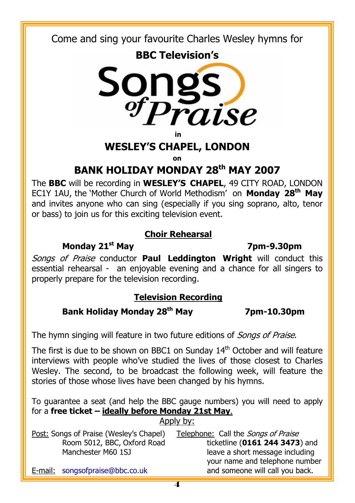Come and sing your favourite Charles Wesley hymns for





**in** 

### **WESLEY'S CHAPEL, LONDON**

**on** 

# **BANK HOLIDAY MONDAY 28th MAY 2007**

The **BBC** will be recording in **WESLEY'S CHAPEL**, 49 CITY ROAD, LONDON EC1Y 1AU, the 'Mother Church of World Methodism' on **Monday 28th May**  and invites anyone who can sing (especially if you sing soprano, alto, tenor or bass) to join us for this exciting television event.

#### **Choir Rehearsal**

### **Monday 21st May 7pm-9.30pm**

Songs of Praise conductor **Paul Leddington Wright** will conduct this essential rehearsal - an enjoyable evening and a chance for all singers to properly prepare for the television recording.

# **Television Recording**

# **Bank Holiday Monday 28th May 7pm-10.30pm**

The hymn singing will feature in two future editions of *Songs of Praise*.

The first is due to be shown on BBC1 on Sunday  $14<sup>th</sup>$  October and will feature interviews with people who've studied the lives of those closest to Charles Wesley. The second, to be broadcast the following week, will feature the stories of those whose lives have been changed by his hymns.

To guarantee a seat (and help the BBC gauge numbers) you will need to apply for a **free ticket – ideally before Monday 21st May**. Annly by:

| Post: Songs of Praise (Wesley's Chapel) | Telephone: Call the <i>Songs of Praise</i> |
|-----------------------------------------|--------------------------------------------|
| Room 5012, BBC, Oxford Road             | ticketline (0161 244 3473) and             |
| Manchester M60 1SJ                      | leave a short message including            |
|                                         | your name and telephone number             |
| E-mail: songsofpraise@bbc.co.uk         | and someone will call you back.            |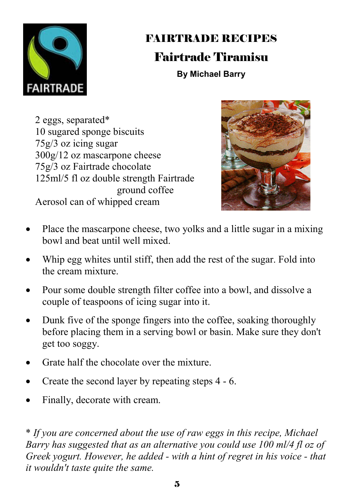

# FAIRTRADE RECIPES Fairtrade Tiramisu

**By Michael Barry** 

2 eggs, separated\* 10 sugared sponge biscuits 75g/3 oz icing sugar 300g/12 oz mascarpone cheese 75g/3 oz Fairtrade chocolate 125ml/5 fl oz double strength Fairtrade ground coffee Aerosol can of whipped cream



- Place the mascarpone cheese, two yolks and a little sugar in a mixing bowl and beat until well mixed.
- Whip egg whites until stiff, then add the rest of the sugar. Fold into the cream mixture.
- Pour some double strength filter coffee into a bowl, and dissolve a couple of teaspoons of icing sugar into it.
- Dunk five of the sponge fingers into the coffee, soaking thoroughly before placing them in a serving bowl or basin. Make sure they don't get too soggy.
- Grate half the chocolate over the mixture.
- Create the second layer by repeating steps 4 6.
- Finally, decorate with cream.

\* *If you are concerned about the use of raw eggs in this recipe, Michael Barry has suggested that as an alternative you could use 100 ml/4 fl oz of Greek yogurt. However, he added - with a hint of regret in his voice - that it wouldn't taste quite the same.*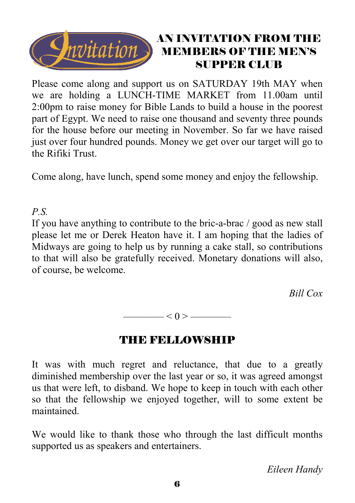

# AN INVITATION FROM THE MEMBERS OF THE MEN'S SUPPER CLUB

Please come along and support us on SATURDAY 19th MAY when we are holding a LUNCH-TIME MARKET from 11.00am until 2:00pm to raise money for Bible Lands to build a house in the poorest part of Egypt. We need to raise one thousand and seventy three pounds for the house before our meeting in November. So far we have raised just over four hundred pounds. Money we get over our target will go to the Rifiki Trust.

Come along, have lunch, spend some money and enjoy the fellowship.

# *P.S.*

If you have anything to contribute to the bric-a-brac / good as new stall please let me or Derek Heaton have it. I am hoping that the ladies of Midways are going to help us by running a cake stall, so contributions to that will also be gratefully received. Monetary donations will also, of course, be welcome.

 *Bill Cox* 

—— $< 0 >$ ———

# THE FELLOWSHIP

It was with much regret and reluctance, that due to a greatly diminished membership over the last year or so, it was agreed amongst us that were left, to disband. We hope to keep in touch with each other so that the fellowship we enjoyed together, will to some extent be maintained.

We would like to thank those who through the last difficult months supported us as speakers and entertainers.

*Eileen Handy*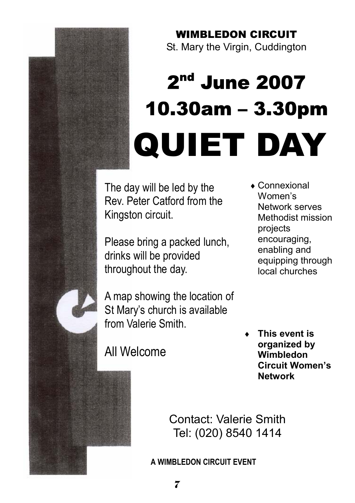# WIMBLEDON CIRCUIT

St. Mary the Virgin, Cuddington

# 2nd June 2007 10.30am – 3.30pm QUIET DAY

The day will be led by the Rev. Peter Catford from the Kingston circuit.

Please bring a packed lunch, drinks will be provided throughout the day.

A map showing the location of St Mary's church is available from Valerie Smith.

♦ Connexional Women's Network serves Methodist mission projects encouraging, enabling and equipping through local churches

All Welcome

**This event is organized by Wimbledon Circuit Women's Network**

Contact: Valerie Smith Tel: (020) 8540 1414

**A WIMBLEDON CIRCUIT EVENT**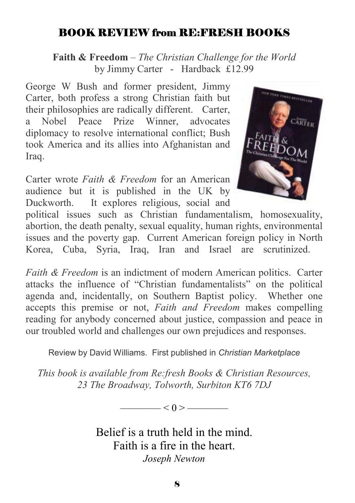# BOOK REVIEW from RE:FRESH BOOKS

**Faith & Freedom** *– The Christian Challenge for the World* by Jimmy Carter - Hardback £12.99

George W Bush and former president, Jimmy Carter, both profess a strong Christian faith but their philosophies are radically different. Carter, a Nobel Peace Prize Winner, advocates diplomacy to resolve international conflict; Bush took America and its allies into Afghanistan and Iraq.

Carter wrote *Faith & Freedom* for an American audience but it is published in the UK by Duckworth. It explores religious, social and



political issues such as Christian fundamentalism, homosexuality, abortion, the death penalty, sexual equality, human rights, environmental issues and the poverty gap. Current American foreign policy in North Korea, Cuba, Syria, Iraq, Iran and Israel are scrutinized.

*Faith & Freedom* is an indictment of modern American politics. Carter attacks the influence of "Christian fundamentalists" on the political agenda and, incidentally, on Southern Baptist policy. Whether one accepts this premise or not, *Faith and Freedom* makes compelling reading for anybody concerned about justice, compassion and peace in our troubled world and challenges our own prejudices and responses.

Review by David Williams. First published in *Christian Marketplace*

*This book is available from Re:fresh Books & Christian Resources, 23 The Broadway, Tolworth, Surbiton KT6 7DJ* 

 $\lt 0$  > ——

Belief is a truth held in the mind. Faith is a fire in the heart. *Joseph Newton*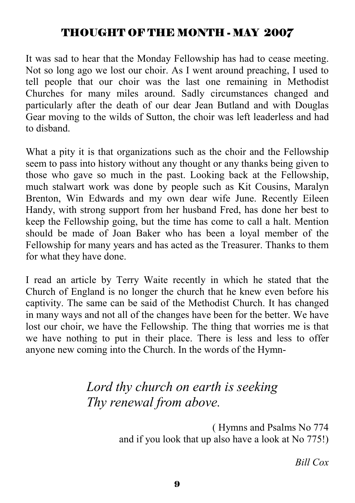# THOUGHT OF THE MONTH - MAY 2007

It was sad to hear that the Monday Fellowship has had to cease meeting. Not so long ago we lost our choir. As I went around preaching, I used to tell people that our choir was the last one remaining in Methodist Churches for many miles around. Sadly circumstances changed and particularly after the death of our dear Jean Butland and with Douglas Gear moving to the wilds of Sutton, the choir was left leaderless and had to disband.

What a pity it is that organizations such as the choir and the Fellowship seem to pass into history without any thought or any thanks being given to those who gave so much in the past. Looking back at the Fellowship, much stalwart work was done by people such as Kit Cousins, Maralyn Brenton, Win Edwards and my own dear wife June. Recently Eileen Handy, with strong support from her husband Fred, has done her best to keep the Fellowship going, but the time has come to call a halt. Mention should be made of Joan Baker who has been a loyal member of the Fellowship for many years and has acted as the Treasurer. Thanks to them for what they have done.

I read an article by Terry Waite recently in which he stated that the Church of England is no longer the church that he knew even before his captivity. The same can be said of the Methodist Church. It has changed in many ways and not all of the changes have been for the better. We have lost our choir, we have the Fellowship. The thing that worries me is that we have nothing to put in their place. There is less and less to offer anyone new coming into the Church. In the words of the Hymn-

# *Lord thy church on earth is seeking Thy renewal from above.*

( Hymns and Psalms No 774 and if you look that up also have a look at No 775!)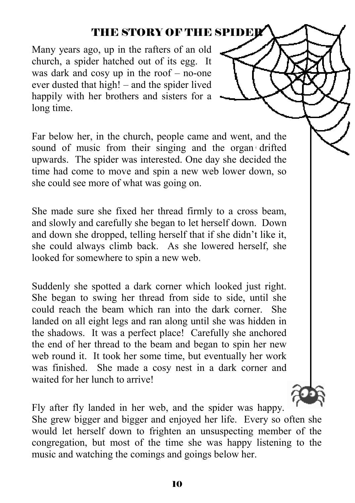# THE STORY OF THE SPIDER

Many years ago, up in the rafters of an old church, a spider hatched out of its egg. It was dark and cosy up in the roof – no-one ever dusted that high! – and the spider lived happily with her brothers and sisters for a long time.

Far below her, in the church, people came and went, and the sound of music from their singing and the organ drifted upwards. The spider was interested. One day she decided the time had come to move and spin a new web lower down, so she could see more of what was going on.

She made sure she fixed her thread firmly to a cross beam, and slowly and carefully she began to let herself down. Down and down she dropped, telling herself that if she didn't like it, she could always climb back. As she lowered herself, she looked for somewhere to spin a new web.

Suddenly she spotted a dark corner which looked just right. She began to swing her thread from side to side, until she could reach the beam which ran into the dark corner. She landed on all eight legs and ran along until she was hidden in the shadows. It was a perfect place! Carefully she anchored the end of her thread to the beam and began to spin her new web round it. It took her some time, but eventually her work was finished. She made a cosy nest in a dark corner and waited for her lunch to arrive!

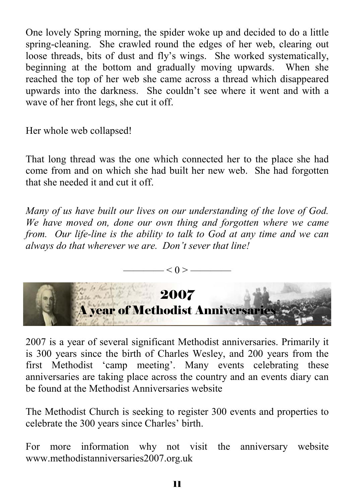One lovely Spring morning, the spider woke up and decided to do a little spring-cleaning. She crawled round the edges of her web, clearing out loose threads, bits of dust and fly's wings. She worked systematically, beginning at the bottom and gradually moving upwards. When she reached the top of her web she came across a thread which disappeared upwards into the darkness. She couldn't see where it went and with a wave of her front legs, she cut it off.

Her whole web collapsed!

That long thread was the one which connected her to the place she had come from and on which she had built her new web. She had forgotten that she needed it and cut it off.

*Many of us have built our lives on our understanding of the love of God. We have moved on, done our own thing and forgotten where we came from. Our life-line is the ability to talk to God at any time and we can always do that wherever we are. Don't sever that line!* 



2007 is a year of several significant Methodist anniversaries. Primarily it is 300 years since the birth of Charles Wesley, and 200 years from the first Methodist 'camp meeting'. Many events celebrating these anniversaries are taking place across the country and an events diary can be found at the Methodist Anniversaries website

The Methodist Church is seeking to register 300 events and properties to celebrate the 300 years since Charles' birth.

For more information why not visit the anniversary website www.methodistanniversaries2007.org.uk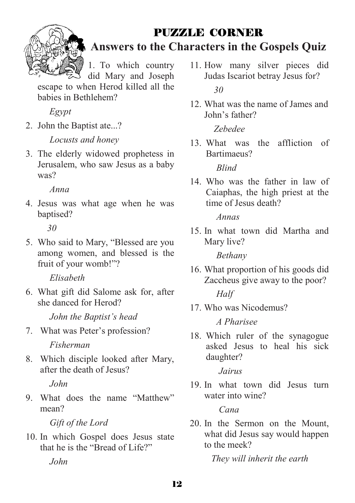

# PUZZLE CORNER

**Answers to the Characters in the Gospels Quiz**

1. To which country

did Mary and Joseph escape to when Herod killed all the babies in Bethlehem?

*Egypt* 

2. John the Baptist ate...?

*Locusts and honey* 

3. The elderly widowed prophetess in Jerusalem, who saw Jesus as a baby was?

*Anna* 

4. Jesus was what age when he was baptised?

*30* 

5. Who said to Mary, "Blessed are you among women, and blessed is the fruit of your womb!"?

*Elisabeth* 

6. What gift did Salome ask for, after she danced for Herod?

*John the Baptist's head* 

7. What was Peter's profession?

*Fisherman* 

8. Which disciple looked after Mary, after the death of Jesus?

*John* 

9. What does the name "Matthew" mean?

*Gift of the Lord*

10. In which Gospel does Jesus state that he is the "Bread of Life?"

*John* 

- 11. How many silver pieces did Judas Iscariot betray Jesus for? *30*
- 12. What was the name of James and John's father?

*Zebedee* 

13. What was the affliction of Bartimaeus?

*Blind* 

14. Who was the father in law of Caiaphas, the high priest at the time of Jesus death?

*Annas* 

15. In what town did Martha and Mary live?

*Bethany* 

- 16. What proportion of his goods did Zaccheus give away to the poor? *Half*
- 17. Who was Nicodemus?

*A Pharisee* 

18. Which ruler of the synagogue asked Jesus to heal his sick daughter?

*Jairus*

19. In what town did Jesus turn water into wine?

*Cana*

20. In the Sermon on the Mount, what did Jesus say would happen to the meek?

*They will inherit the earth*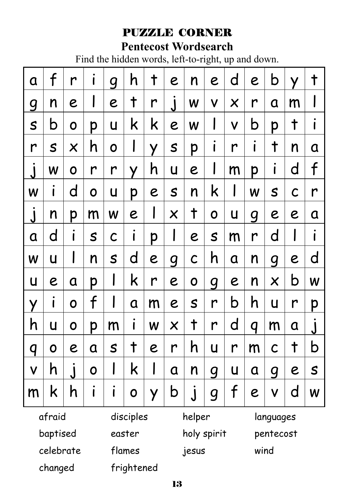# PUZZLE CORNER

# **Pentecost Wordsearch**

Find the hidden words, left-to-right, up and down.

| a                       | $\mathsf{f}$   | r                         | i           | g            | h          | $\pmb{\dagger}$ | e                         | n                  | e                | d                         | e | b                     | Ÿ            | $\ddagger$              |
|-------------------------|----------------|---------------------------|-------------|--------------|------------|-----------------|---------------------------|--------------------|------------------|---------------------------|---|-----------------------|--------------|-------------------------|
| g                       | n              | e                         | I           | e            | $\ddagger$ | r               | j                         | W                  | $\checkmark$     | $\boldsymbol{\mathsf{X}}$ | r | a                     | m            |                         |
| $\mathsf S$             | b              | $\mathbf 0$               | p           | U            | k          | k               | e                         | W                  | I                | V                         | b | p                     | $\ddagger$   | $\mathbf{I}$            |
| r                       | S              | $\boldsymbol{\mathsf{X}}$ | h           | O            | I          | Y               | S                         | p                  | $\bullet$<br>I   | r                         | i | $\pmb{\dagger}$       | n            | a                       |
| $\overline{\mathsf{I}}$ | W              | 0                         | r           | r            | У          | h               | U                         | e                  | I                | m                         | p | I                     | d            | $\mathsf f$             |
| W                       | I              | d                         | $\mathbf O$ | U            | p          | e               | S                         | n                  | k                | I                         | W | S                     | $\mathsf{C}$ | r                       |
| $\overline{\mathsf{I}}$ | n              | p                         | m           | W            | e          | I               | $\boldsymbol{\mathsf{X}}$ | $\ddagger$         | O                | U                         | g | e                     | e            | a                       |
| a                       | d              | Ť                         | S           | $\mathsf{C}$ | i          | p               | I                         | e                  | $\mathsf S$      | m                         | r | d                     | I            | $\mathbf{I}$            |
| W                       | U              | I                         | n           | $\mathsf S$  | d          | e               | $\overline{g}$            | $\mathsf{C}$       | h                | a                         | n | $\boldsymbol{q}$      | e            | d                       |
| U                       | е              | a                         | p           | I            | k          | r               | e                         | $\mathbf 0$        | g                | e                         | n | $\boldsymbol{\times}$ | b            | W                       |
| У                       | $\bullet$<br>I | O                         | f           | I            | Q          | m               | e                         | S                  | r                | b                         | h | U                     | r            | p                       |
| h                       | U              | O                         | p           | m            | i          | W               | X                         | $\pmb{\dagger}$    | r                | d                         | q | m                     | a            | $\overline{\mathsf{I}}$ |
| q                       | O              | e                         | a           | S            | $\ddagger$ | e               | r                         | h                  | U                | r                         | m | C                     | $\dagger$    | b                       |
| $\mathsf{V}$            | h              | $\overline{\mathsf{J}}$   | 0           | I            | k          | I               | Q                         | n                  | $\boldsymbol{q}$ | U                         | a | q                     | e            | S                       |
| m                       | k              | h                         | I           | I            | 0          | Y               | b                         | $\dot{\mathsf{J}}$ | g                | f                         | e | V                     | d            | W                       |
| afraid                  |                |                           | disciples   |              |            |                 | helper                    |                    |                  | languages                 |   |                       |              |                         |
| baptised                |                |                           | easter      |              |            |                 | holy spirit               |                    |                  | pentecost                 |   |                       |              |                         |

celebrate

changed

flames

frightened

jesus

wind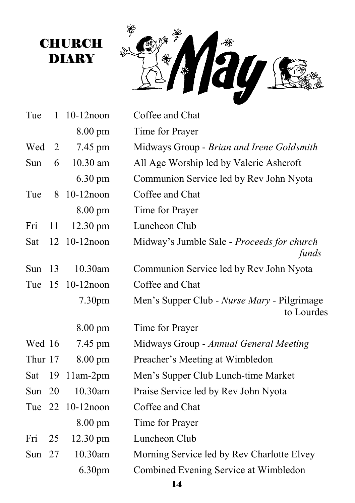

**CHURCH** DIARY

| Tue     |    | $1 \t10-12$ noon   | Coffee and Chat                                           |
|---------|----|--------------------|-----------------------------------------------------------|
|         |    | 8.00 pm            | Time for Prayer                                           |
| Wed     | 2  | 7.45 pm            | Midways Group - Brian and Irene Goldsmith                 |
| Sun     | 6  | 10.30 am           | All Age Worship led by Valerie Ashcroft                   |
|         |    | 6.30 pm            | Communion Service led by Rev John Nyota                   |
| Tue     | 8  | 10-12noon          | Coffee and Chat                                           |
|         |    | 8.00 pm            | Time for Prayer                                           |
| Fri     | 11 | 12.30 pm           | Luncheon Club                                             |
| Sat     | 12 | $10-12$ noon       | Midway's Jumble Sale - Proceeds for church<br>funds       |
| Sun     | 13 | 10.30am            | Communion Service led by Rev John Nyota                   |
| Tue     | 15 | $10-12$ noon       | Coffee and Chat                                           |
|         |    |                    |                                                           |
|         |    | 7.30 <sub>pm</sub> | Men's Supper Club - Nurse Mary - Pilgrimage<br>to Lourdes |
|         |    | $8.00 \text{ pm}$  | Time for Prayer                                           |
| Wed 16  |    | 7.45 pm            | Midways Group - Annual General Meeting                    |
| Thur 17 |    | $8.00 \text{ pm}$  | Preacher's Meeting at Wimbledon                           |
| Sat     | 19 | $11am-2pm$         | Men's Supper Club Lunch-time Market                       |
| Sun     | 20 | 10.30am            | Praise Service led by Rev John Nyota                      |
| Tue     | 22 | $10-12$ noon       | Coffee and Chat                                           |
|         |    | $8.00 \text{ pm}$  | Time for Prayer                                           |
| Fri     | 25 | 12.30 pm           | Luncheon Club                                             |
| Sun     | 27 | 10.30am            | Morning Service led by Rev Charlotte Elvey                |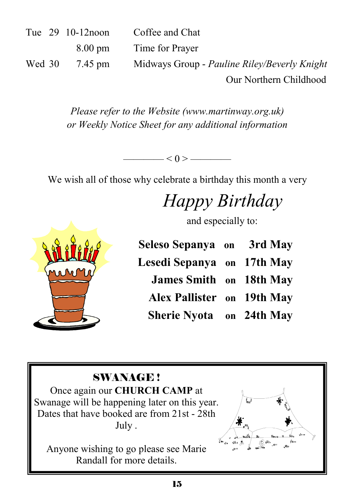|        | Tue 29 10-12 noon | Coffee and Chat                              |
|--------|-------------------|----------------------------------------------|
|        | $8.00 \text{ pm}$ | Time for Prayer                              |
| Wed 30 | 7.45 pm           | Midways Group - Pauline Riley/Beverly Knight |
|        |                   | Our Northern Childhood                       |

*Please refer to the Website (www.martinway.org.uk) or Weekly Notice Sheet for any additional information* 

 $- < 0 >$  —

We wish all of those why celebrate a birthday this month a very

# *Happy Birthday*

and especially to:

| Seleso Sepanya on 3rd May       |  |
|---------------------------------|--|
| Lesedi Sepanya on 17th May      |  |
| <b>James Smith</b> on 18th May  |  |
| Alex Pallister on 19th May      |  |
| <b>Sherie Nyota</b> on 24th May |  |